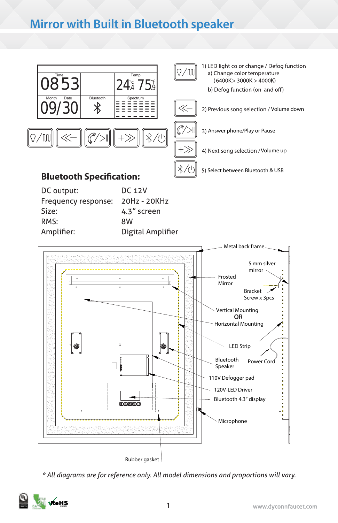## **Mirror with Built in Bluetooth speaker**



| DC output:          | DC 12V            |
|---------------------|-------------------|
| Frequency response: | 20Hz - 20KHz      |
| Size:               | 4.3" screen       |
| RMS:                | 8W                |
| Amplifier:          | Digital Amplifier |



*\* All diagrams are for reference only. All model dimensions and proportions will vary.*